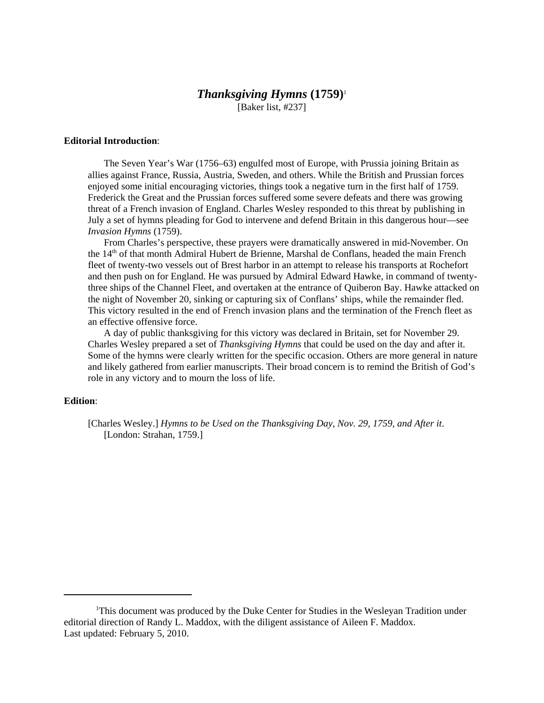# *Thanksgiving Hymns* **(1759)**<sup>1</sup>

[Baker list, #237]

## **Editorial Introduction**:

The Seven Year's War (1756–63) engulfed most of Europe, with Prussia joining Britain as allies against France, Russia, Austria, Sweden, and others. While the British and Prussian forces enjoyed some initial encouraging victories, things took a negative turn in the first half of 1759. Frederick the Great and the Prussian forces suffered some severe defeats and there was growing threat of a French invasion of England. Charles Wesley responded to this threat by publishing in July a set of hymns pleading for God to intervene and defend Britain in this dangerous hour—see *Invasion Hymns* (1759).

From Charles's perspective, these prayers were dramatically answered in mid-November. On the 14<sup>th</sup> of that month Admiral Hubert de Brienne, Marshal de Conflans, headed the main French fleet of twenty-two vessels out of Brest harbor in an attempt to release his transports at Rochefort and then push on for England. He was pursued by Admiral Edward Hawke, in command of twentythree ships of the Channel Fleet, and overtaken at the entrance of Quiberon Bay. Hawke attacked on the night of November 20, sinking or capturing six of Conflans' ships, while the remainder fled. This victory resulted in the end of French invasion plans and the termination of the French fleet as an effective offensive force.

A day of public thanksgiving for this victory was declared in Britain, set for November 29. Charles Wesley prepared a set of *Thanksgiving Hymns* that could be used on the day and after it. Some of the hymns were clearly written for the specific occasion. Others are more general in nature and likely gathered from earlier manuscripts. Their broad concern is to remind the British of God's role in any victory and to mourn the loss of life.

## **Edition**:

[Charles Wesley.] *Hymns to be Used on the Thanksgiving Day, Nov. 29, 1759, and After it*. [London: Strahan, 1759.]

<sup>&</sup>lt;sup>1</sup>This document was produced by the Duke Center for Studies in the Wesleyan Tradition under editorial direction of Randy L. Maddox, with the diligent assistance of Aileen F. Maddox. Last updated: February 5, 2010.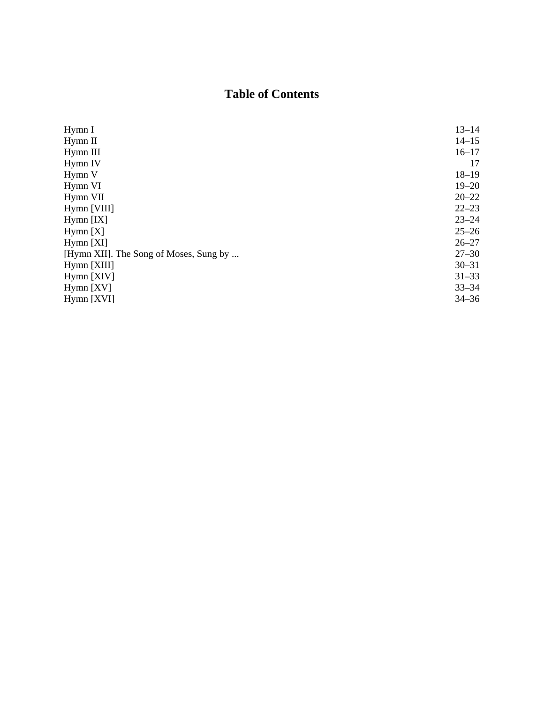# **Table of Contents**

| Hymn I                                 | $13 - 14$ |
|----------------------------------------|-----------|
| Hymn II                                | $14 - 15$ |
| Hymn III                               | $16 - 17$ |
| Hymn IV                                | 17        |
| Hymn V                                 | $18 - 19$ |
| Hymn VI                                | $19 - 20$ |
| Hymn VII                               | $20 - 22$ |
| Hymn [VIII]                            | $22 - 23$ |
| $Hymn$ [IX]                            | $23 - 24$ |
| Hymn [X]                               | $25 - 26$ |
| $Hymn$ [XI]                            | $26 - 27$ |
| [Hymn XII]. The Song of Moses, Sung by | $27 - 30$ |
| Hymn [XIII]                            | $30 - 31$ |
| Hymn [XIV]                             | $31 - 33$ |
| $Hymn$ [XV]                            | $33 - 34$ |
| $Hymn$ [XVI]                           | $34 - 36$ |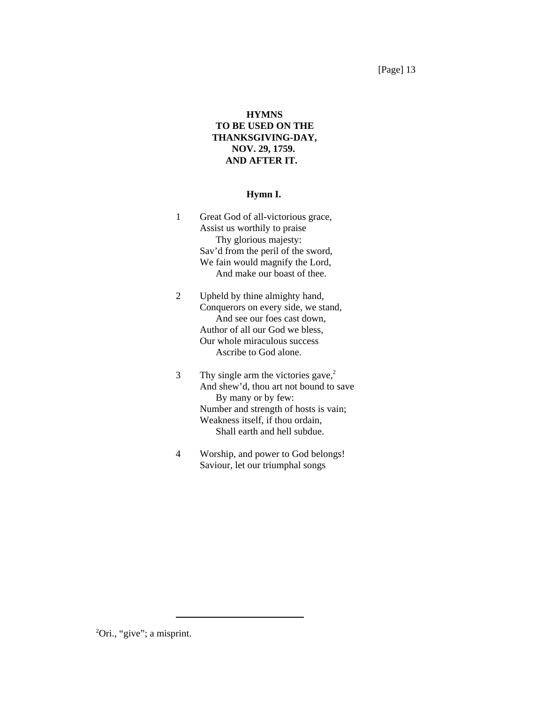[Page] 13

# **HYMNS TO BE USED ON THE THANKSGIVING-DAY, NOV. 29, 1759. AND AFTER IT.**

## **Hymn I.**

- 1 Great God of all-victorious grace, Assist us worthily to praise Thy glorious majesty: Sav'd from the peril of the sword, We fain would magnify the Lord, And make our boast of thee.
- 2 Upheld by thine almighty hand, Conquerors on every side, we stand, And see our foes cast down, Author of all our God we bless, Our whole miraculous success Ascribe to God alone.
- 3 Thy single arm the victories gave,<sup>2</sup> And shew'd, thou art not bound to save By many or by few: Number and strength of hosts is vain; Weakness itself, if thou ordain, Shall earth and hell subdue.
- 4 Worship, and power to God belongs! Saviour, let our triumphal songs

<sup>2</sup>Ori., "give"; a misprint.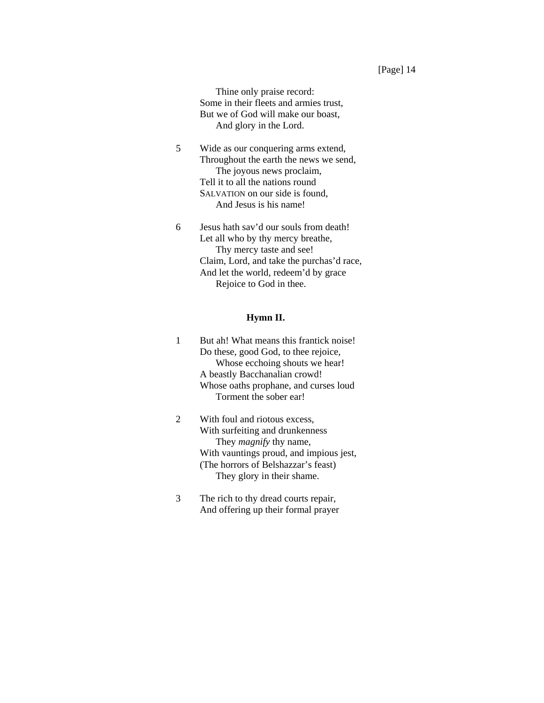Thine only praise record: Some in their fleets and armies trust, But we of God will make our boast, And glory in the Lord.

- 5 Wide as our conquering arms extend, Throughout the earth the news we send, The joyous news proclaim, Tell it to all the nations round SALVATION on our side is found, And Jesus is his name!
- 6 Jesus hath sav'd our souls from death! Let all who by thy mercy breathe, Thy mercy taste and see! Claim, Lord, and take the purchas'd race, And let the world, redeem'd by grace Rejoice to God in thee.

## **Hymn II.**

- 1 But ah! What means this frantick noise! Do these, good God, to thee rejoice, Whose ecchoing shouts we hear! A beastly Bacchanalian crowd! Whose oaths prophane, and curses loud Torment the sober ear!
- 2 With foul and riotous excess, With surfeiting and drunkenness They *magnify* thy name, With vauntings proud, and impious jest, (The horrors of Belshazzar's feast) They glory in their shame.
- 3 The rich to thy dread courts repair, And offering up their formal prayer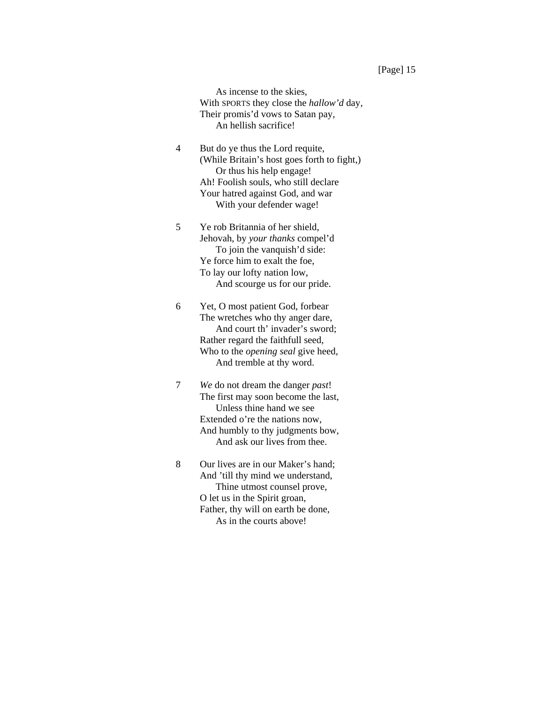As incense to the skies, With SPORTS they close the *hallow'd* day, Their promis'd vows to Satan pay, An hellish sacrifice!

- 4 But do ye thus the Lord requite, (While Britain's host goes forth to fight,) Or thus his help engage! Ah! Foolish souls, who still declare Your hatred against God, and war With your defender wage!
- 5 Ye rob Britannia of her shield, Jehovah, by *your thanks* compel'd To join the vanquish'd side: Ye force him to exalt the foe, To lay our lofty nation low, And scourge us for our pride.
- 6 Yet, O most patient God, forbear The wretches who thy anger dare, And court th' invader's sword; Rather regard the faithfull seed, Who to the *opening seal* give heed, And tremble at thy word.
- 7 *We* do not dream the danger *past*! The first may soon become the last, Unless thine hand we see Extended o're the nations now, And humbly to thy judgments bow, And ask our lives from thee.
- 8 Our lives are in our Maker's hand; And 'till thy mind we understand, Thine utmost counsel prove, O let us in the Spirit groan, Father, thy will on earth be done, As in the courts above!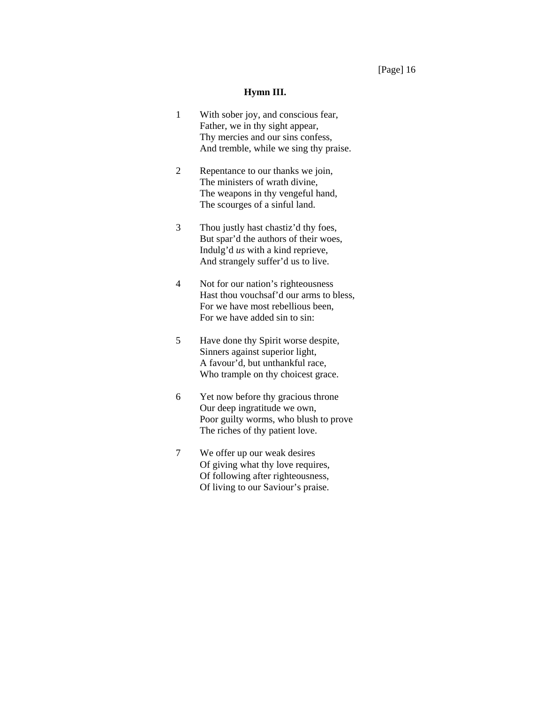#### **Hymn III.**

- 1 With sober joy, and conscious fear, Father, we in thy sight appear, Thy mercies and our sins confess, And tremble, while we sing thy praise.
- 2 Repentance to our thanks we join, The ministers of wrath divine, The weapons in thy vengeful hand, The scourges of a sinful land.
- 3 Thou justly hast chastiz'd thy foes, But spar'd the authors of their woes, Indulg'd *us* with a kind reprieve, And strangely suffer'd us to live.
- 4 Not for our nation's righteousness Hast thou vouchsaf'd our arms to bless, For we have most rebellious been, For we have added sin to sin:
- 5 Have done thy Spirit worse despite, Sinners against superior light, A favour'd, but unthankful race, Who trample on thy choicest grace.
- 6 Yet now before thy gracious throne Our deep ingratitude we own, Poor guilty worms, who blush to prove The riches of thy patient love.
- 7 We offer up our weak desires Of giving what thy love requires, Of following after righteousness, Of living to our Saviour's praise.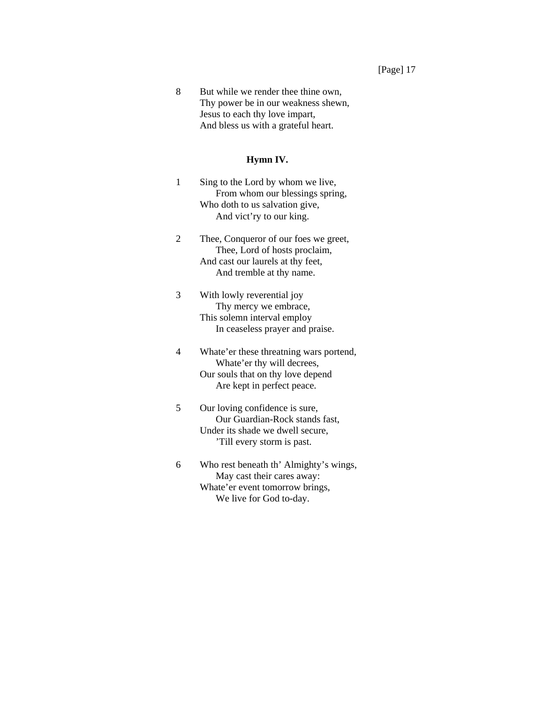8 But while we render thee thine own, Thy power be in our weakness shewn, Jesus to each thy love impart, And bless us with a grateful heart.

#### **Hymn IV.**

- 1 Sing to the Lord by whom we live, From whom our blessings spring, Who doth to us salvation give, And vict'ry to our king.
- 2 Thee, Conqueror of our foes we greet, Thee, Lord of hosts proclaim, And cast our laurels at thy feet, And tremble at thy name.
- 3 With lowly reverential joy Thy mercy we embrace, This solemn interval employ In ceaseless prayer and praise.
- 4 Whate'er these threatning wars portend, Whate'er thy will decrees, Our souls that on thy love depend Are kept in perfect peace.
- 5 Our loving confidence is sure, Our Guardian-Rock stands fast, Under its shade we dwell secure, 'Till every storm is past.
- 6 Who rest beneath th' Almighty's wings, May cast their cares away: Whate'er event tomorrow brings, We live for God to-day.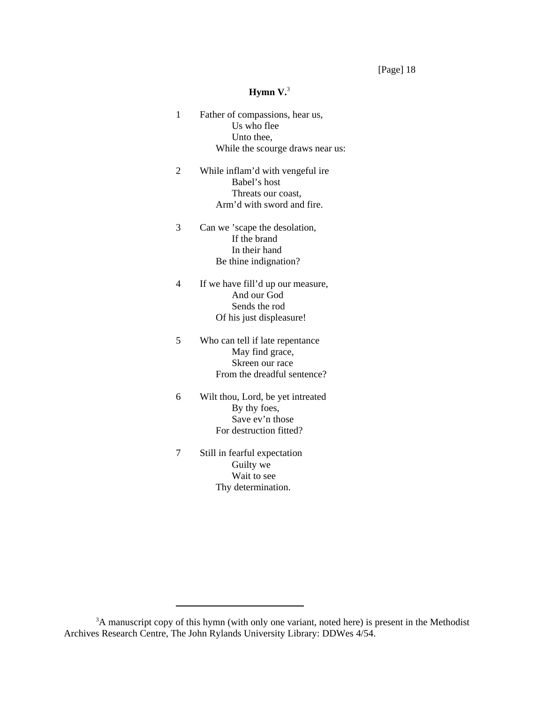[Page] 18

## **Hymn V.**<sup>3</sup>

- 1 Father of compassions, hear us, Us who flee Unto thee, While the scourge draws near us:
- 2 While inflam'd with vengeful ire Babel's host Threats our coast, Arm'd with sword and fire.
- 3 Can we 'scape the desolation, If the brand In their hand Be thine indignation?
- 4 If we have fill'd up our measure, And our God Sends the rod Of his just displeasure!
- 5 Who can tell if late repentance May find grace, Skreen our race From the dreadful sentence?
- 6 Wilt thou, Lord, be yet intreated By thy foes, Save ev'n those For destruction fitted?
- 7 Still in fearful expectation Guilty we Wait to see Thy determination.

<sup>&</sup>lt;sup>3</sup>A manuscript copy of this hymn (with only one variant, noted here) is present in the Methodist Archives Research Centre, The John Rylands University Library: DDWes 4/54.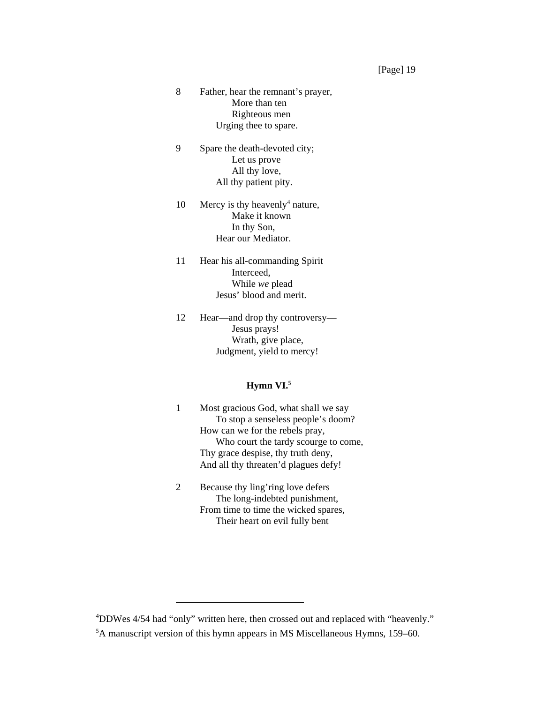- 8 Father, hear the remnant's prayer, More than ten Righteous men Urging thee to spare.
- 9 Spare the death-devoted city; Let us prove All thy love, All thy patient pity.
- 10 Mercy is thy heavenly<sup>4</sup> nature, Make it known In thy Son, Hear our Mediator.
- 11 Hear his all-commanding Spirit Interceed, While *we* plead Jesus' blood and merit.
- 12 Hear—and drop thy controversy— Jesus prays! Wrath, give place, Judgment, yield to mercy!

# **Hymn VI.**<sup>5</sup>

- 1 Most gracious God, what shall we say To stop a senseless people's doom? How can we for the rebels pray, Who court the tardy scourge to come, Thy grace despise, thy truth deny, And all thy threaten'd plagues defy!
- 2 Because thy ling'ring love defers The long-indebted punishment, From time to time the wicked spares, Their heart on evil fully bent

<sup>4</sup> DDWes 4/54 had "only" written here, then crossed out and replaced with "heavenly."

<sup>5</sup> A manuscript version of this hymn appears in MS Miscellaneous Hymns, 159–60.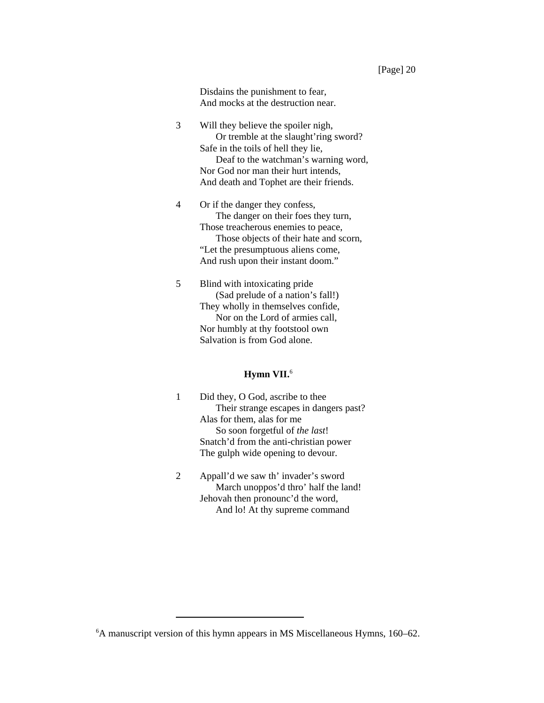Disdains the punishment to fear, And mocks at the destruction near.

- 3 Will they believe the spoiler nigh, Or tremble at the slaught'ring sword? Safe in the toils of hell they lie, Deaf to the watchman's warning word, Nor God nor man their hurt intends, And death and Tophet are their friends.
- 4 Or if the danger they confess, The danger on their foes they turn, Those treacherous enemies to peace, Those objects of their hate and scorn, "Let the presumptuous aliens come, And rush upon their instant doom."
- 5 Blind with intoxicating pride (Sad prelude of a nation's fall!) They wholly in themselves confide, Nor on the Lord of armies call, Nor humbly at thy footstool own Salvation is from God alone.

# **Hymn VII.**<sup>6</sup>

- 1 Did they, O God, ascribe to thee Their strange escapes in dangers past? Alas for them, alas for me So soon forgetful of *the last*! Snatch'd from the anti-christian power The gulph wide opening to devour.
- 2 Appall'd we saw th' invader's sword March unoppos'd thro' half the land! Jehovah then pronounc'd the word, And lo! At thy supreme command

<sup>6</sup> A manuscript version of this hymn appears in MS Miscellaneous Hymns, 160–62.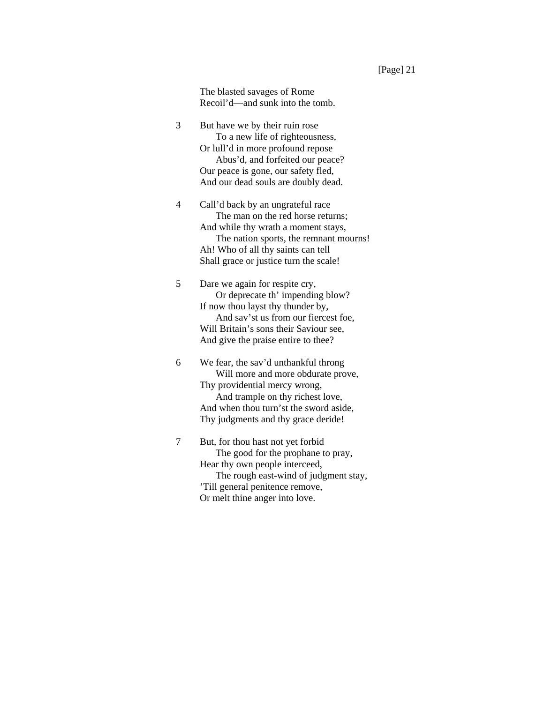The blasted savages of Rome Recoil'd—and sunk into the tomb.

- 3 But have we by their ruin rose To a new life of righteousness, Or lull'd in more profound repose Abus'd, and forfeited our peace? Our peace is gone, our safety fled, And our dead souls are doubly dead.
- 4 Call'd back by an ungrateful race The man on the red horse returns; And while thy wrath a moment stays, The nation sports, the remnant mourns! Ah! Who of all thy saints can tell Shall grace or justice turn the scale!
- 5 Dare we again for respite cry, Or deprecate th' impending blow? If now thou layst thy thunder by, And sav'st us from our fiercest foe, Will Britain's sons their Saviour see, And give the praise entire to thee?

6 We fear, the sav'd unthankful throng Will more and more obdurate prove, Thy providential mercy wrong, And trample on thy richest love, And when thou turn'st the sword aside, Thy judgments and thy grace deride!

7 But, for thou hast not yet forbid The good for the prophane to pray, Hear thy own people interceed, The rough east-wind of judgment stay, 'Till general penitence remove, Or melt thine anger into love.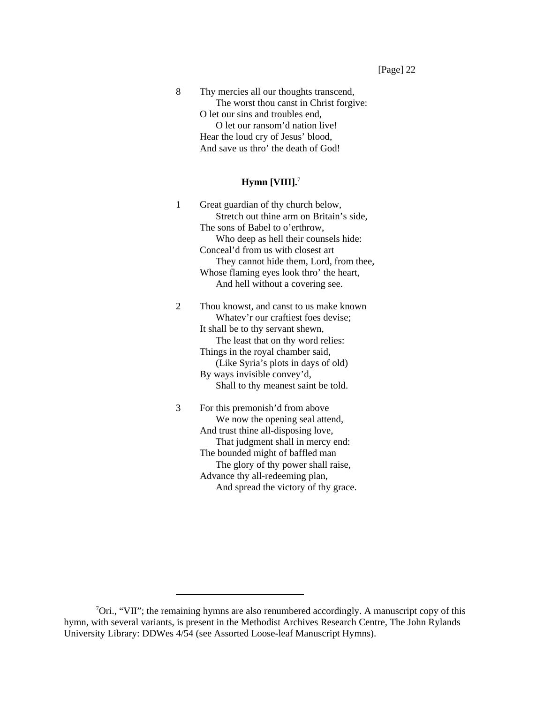8 Thy mercies all our thoughts transcend, The worst thou canst in Christ forgive: O let our sins and troubles end, O let our ransom'd nation live! Hear the loud cry of Jesus' blood, And save us thro' the death of God!

# **Hymn [VIII].**<sup>7</sup>

1 Great guardian of thy church below, Stretch out thine arm on Britain's side, The sons of Babel to o'erthrow, Who deep as hell their counsels hide: Conceal'd from us with closest art They cannot hide them, Lord, from thee, Whose flaming eyes look thro' the heart, And hell without a covering see.

2 Thou knowst, and canst to us make known Whatev'r our craftiest foes devise; It shall be to thy servant shewn, The least that on thy word relies: Things in the royal chamber said, (Like Syria's plots in days of old) By ways invisible convey'd, Shall to thy meanest saint be told.

3 For this premonish'd from above We now the opening seal attend, And trust thine all-disposing love, That judgment shall in mercy end: The bounded might of baffled man The glory of thy power shall raise, Advance thy all-redeeming plan, And spread the victory of thy grace.

<sup>&</sup>lt;sup>7</sup>Ori., "VII"; the remaining hymns are also renumbered accordingly. A manuscript copy of this hymn, with several variants, is present in the Methodist Archives Research Centre, The John Rylands University Library: DDWes 4/54 (see Assorted Loose-leaf Manuscript Hymns).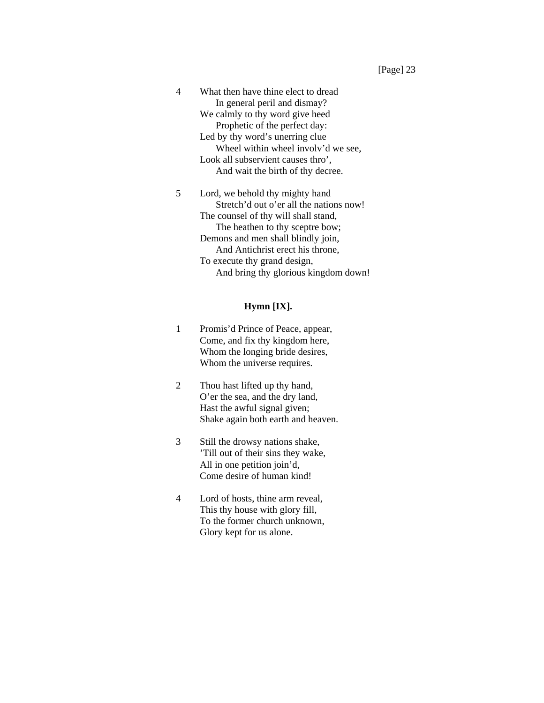4 What then have thine elect to dread In general peril and dismay? We calmly to thy word give heed Prophetic of the perfect day: Led by thy word's unerring clue Wheel within wheel involv'd we see. Look all subservient causes thro', And wait the birth of thy decree.

5 Lord, we behold thy mighty hand Stretch'd out o'er all the nations now! The counsel of thy will shall stand, The heathen to thy sceptre bow; Demons and men shall blindly join, And Antichrist erect his throne, To execute thy grand design, And bring thy glorious kingdom down!

#### **Hymn [IX].**

- 1 Promis'd Prince of Peace, appear, Come, and fix thy kingdom here, Whom the longing bride desires, Whom the universe requires.
- 2 Thou hast lifted up thy hand, O'er the sea, and the dry land, Hast the awful signal given; Shake again both earth and heaven.
- 3 Still the drowsy nations shake, 'Till out of their sins they wake, All in one petition join'd, Come desire of human kind!
- 4 Lord of hosts, thine arm reveal, This thy house with glory fill, To the former church unknown, Glory kept for us alone.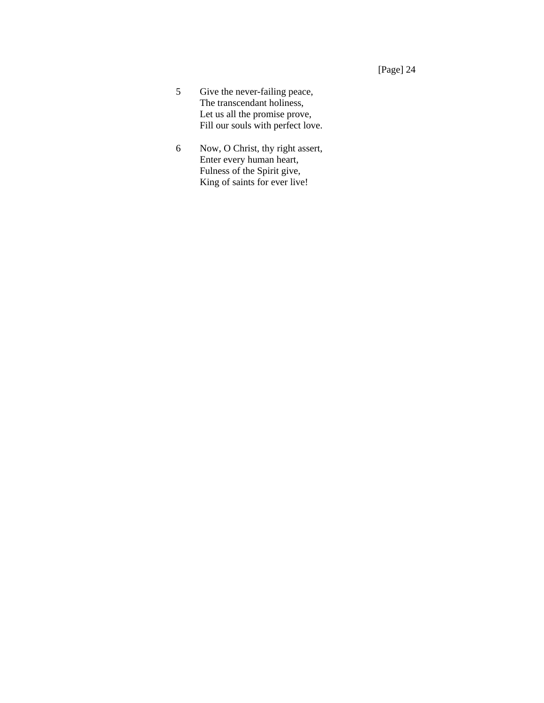- 5 Give the never-failing peace, The transcendant holiness, Let us all the promise prove, Fill our souls with perfect love.
- 6 Now, O Christ, thy right assert, Enter every human heart, Fulness of the Spirit give, King of saints for ever live!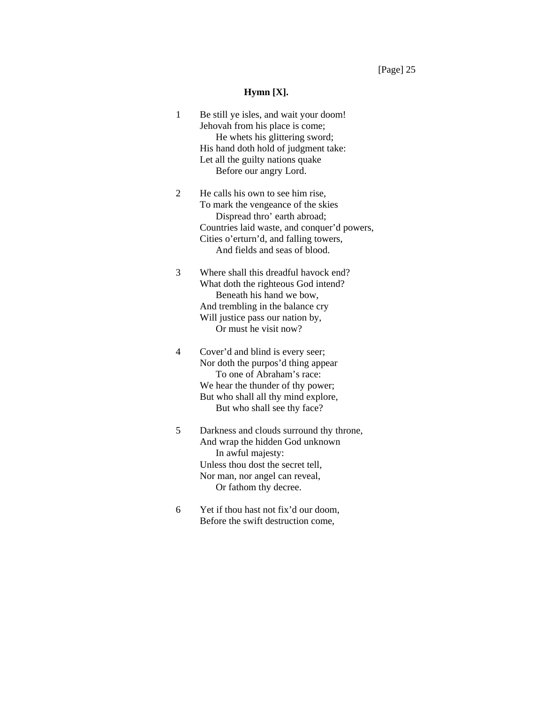[Page] 25

#### **Hymn [X].**

- 1 Be still ye isles, and wait your doom! Jehovah from his place is come; He whets his glittering sword; His hand doth hold of judgment take: Let all the guilty nations quake Before our angry Lord.
- 2 He calls his own to see him rise, To mark the vengeance of the skies Dispread thro' earth abroad; Countries laid waste, and conquer'd powers, Cities o'erturn'd, and falling towers, And fields and seas of blood.
- 3 Where shall this dreadful havock end? What doth the righteous God intend? Beneath his hand we bow, And trembling in the balance cry Will justice pass our nation by, Or must he visit now?
- 4 Cover'd and blind is every seer; Nor doth the purpos'd thing appear To one of Abraham's race: We hear the thunder of thy power; But who shall all thy mind explore, But who shall see thy face?
- 5 Darkness and clouds surround thy throne, And wrap the hidden God unknown In awful majesty: Unless thou dost the secret tell, Nor man, nor angel can reveal, Or fathom thy decree.
- 6 Yet if thou hast not fix'd our doom, Before the swift destruction come,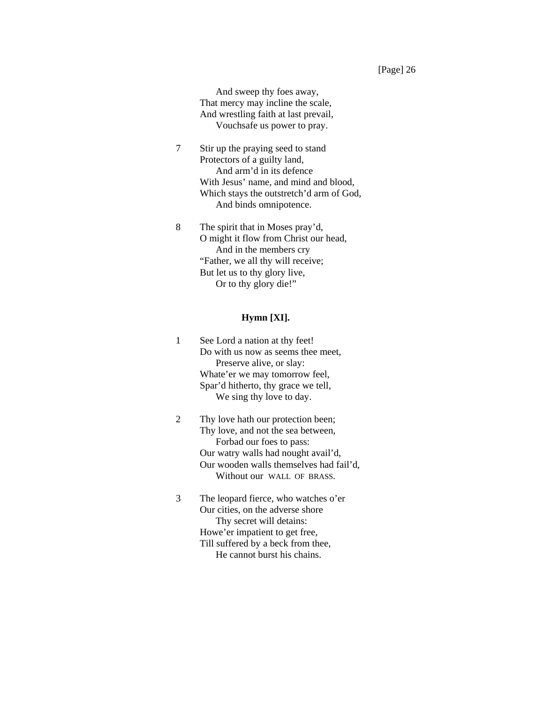And sweep thy foes away, That mercy may incline the scale, And wrestling faith at last prevail, Vouchsafe us power to pray.

- 7 Stir up the praying seed to stand Protectors of a guilty land, And arm'd in its defence With Jesus' name, and mind and blood, Which stays the outstretch'd arm of God, And binds omnipotence.
- 8 The spirit that in Moses pray'd, O might it flow from Christ our head, And in the members cry "Father, we all thy will receive; But let us to thy glory live, Or to thy glory die!"

## **Hymn [XI].**

- 1 See Lord a nation at thy feet! Do with us now as seems thee meet, Preserve alive, or slay: Whate'er we may tomorrow feel, Spar'd hitherto, thy grace we tell, We sing thy love to day.
- 2 Thy love hath our protection been; Thy love, and not the sea between, Forbad our foes to pass: Our watry walls had nought avail'd, Our wooden walls themselves had fail'd, Without our WALL OF BRASS.
- 3 The leopard fierce, who watches o'er Our cities, on the adverse shore Thy secret will detains: Howe'er impatient to get free, Till suffered by a beck from thee, He cannot burst his chains.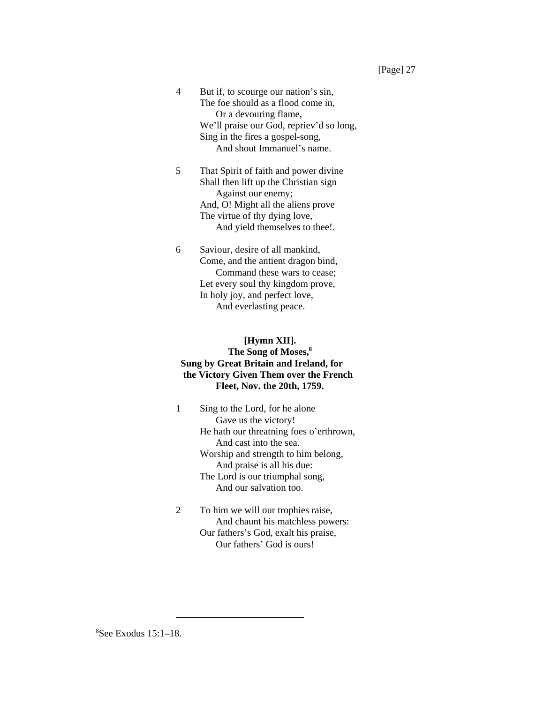- 4 But if, to scourge our nation's sin, The foe should as a flood come in, Or a devouring flame, We'll praise our God, repriev'd so long, Sing in the fires a gospel-song, And shout Immanuel's name.
- 5 That Spirit of faith and power divine Shall then lift up the Christian sign Against our enemy; And, O! Might all the aliens prove The virtue of thy dying love, And yield themselves to thee!.
- 6 Saviour, desire of all mankind, Come, and the antient dragon bind, Command these wars to cease; Let every soul thy kingdom prove, In holy joy, and perfect love, And everlasting peace.

# **[Hymn XII]. The Song of Moses,8 Sung by Great Britain and Ireland, for the Victory Given Them over the French Fleet, Nov. the 20th, 1759.**

- 1 Sing to the Lord, for he alone Gave us the victory! He hath our threatning foes o'erthrown, And cast into the sea. Worship and strength to him belong, And praise is all his due: The Lord is our triumphal song, And our salvation too.
- 2 To him we will our trophies raise, And chaunt his matchless powers: Our fathers's God, exalt his praise, Our fathers' God is ours!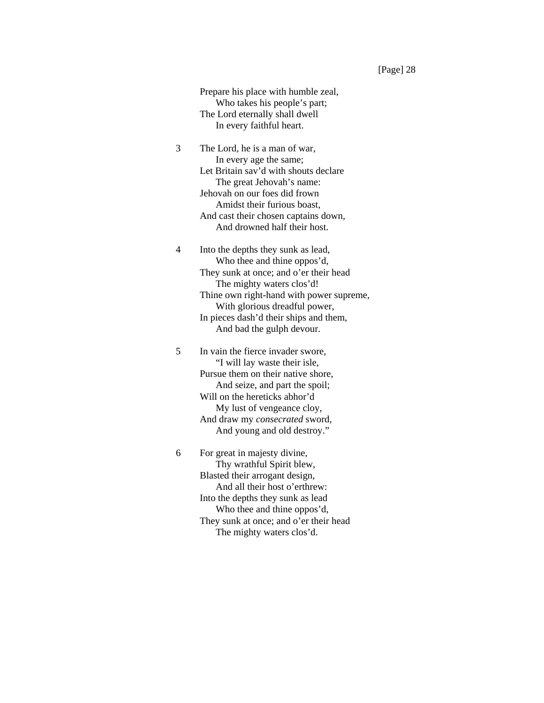Prepare his place with humble zeal, Who takes his people's part; The Lord eternally shall dwell In every faithful heart.

3 The Lord, he is a man of war, In every age the same; Let Britain sav'd with shouts declare The great Jehovah's name: Jehovah on our foes did frown Amidst their furious boast, And cast their chosen captains down, And drowned half their host.

4 Into the depths they sunk as lead, Who thee and thine oppos'd, They sunk at once; and o'er their head The mighty waters clos'd! Thine own right-hand with power supreme, With glorious dreadful power, In pieces dash'd their ships and them, And bad the gulph devour.

5 In vain the fierce invader swore, "I will lay waste their isle, Pursue them on their native shore, And seize, and part the spoil; Will on the hereticks abhor'd My lust of vengeance cloy, And draw my *consecrated* sword, And young and old destroy."

6 For great in majesty divine, Thy wrathful Spirit blew, Blasted their arrogant design, And all their host o'erthrew: Into the depths they sunk as lead Who thee and thine oppos'd, They sunk at once; and o'er their head The mighty waters clos'd.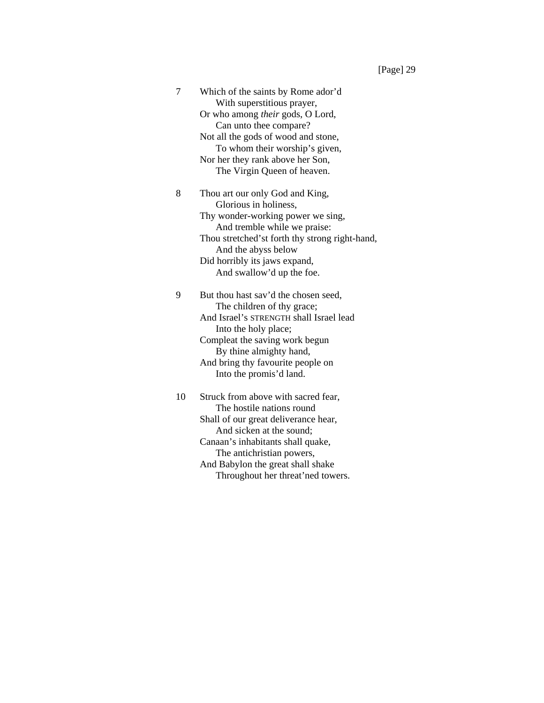7 Which of the saints by Rome ador'd With superstitious prayer, Or who among *their* gods, O Lord, Can unto thee compare? Not all the gods of wood and stone, To whom their worship's given, Nor her they rank above her Son, The Virgin Queen of heaven. 8 Thou art our only God and King,

Glorious in holiness, Thy wonder-working power we sing, And tremble while we praise: Thou stretched'st forth thy strong right-hand, And the abyss below Did horribly its jaws expand, And swallow'd up the foe.

9 But thou hast sav'd the chosen seed, The children of thy grace; And Israel's STRENGTH shall Israel lead Into the holy place; Compleat the saving work begun By thine almighty hand, And bring thy favourite people on Into the promis'd land.

10 Struck from above with sacred fear, The hostile nations round Shall of our great deliverance hear, And sicken at the sound; Canaan's inhabitants shall quake, The antichristian powers, And Babylon the great shall shake Throughout her threat'ned towers.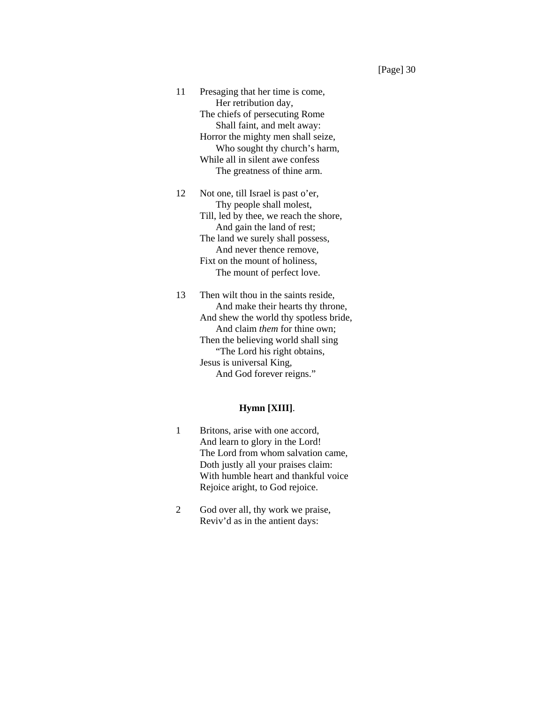11 Presaging that her time is come, Her retribution day, The chiefs of persecuting Rome Shall faint, and melt away: Horror the mighty men shall seize, Who sought thy church's harm, While all in silent awe confess The greatness of thine arm.

12 Not one, till Israel is past o'er, Thy people shall molest, Till, led by thee, we reach the shore, And gain the land of rest; The land we surely shall possess, And never thence remove, Fixt on the mount of holiness, The mount of perfect love.

13 Then wilt thou in the saints reside, And make their hearts thy throne, And shew the world thy spotless bride, And claim *them* for thine own; Then the believing world shall sing "The Lord his right obtains, Jesus is universal King, And God forever reigns."

### **Hymn [XIII]**.

- 1 Britons, arise with one accord, And learn to glory in the Lord! The Lord from whom salvation came, Doth justly all your praises claim: With humble heart and thankful voice Rejoice aright, to God rejoice.
- 2 God over all, thy work we praise, Reviv'd as in the antient days: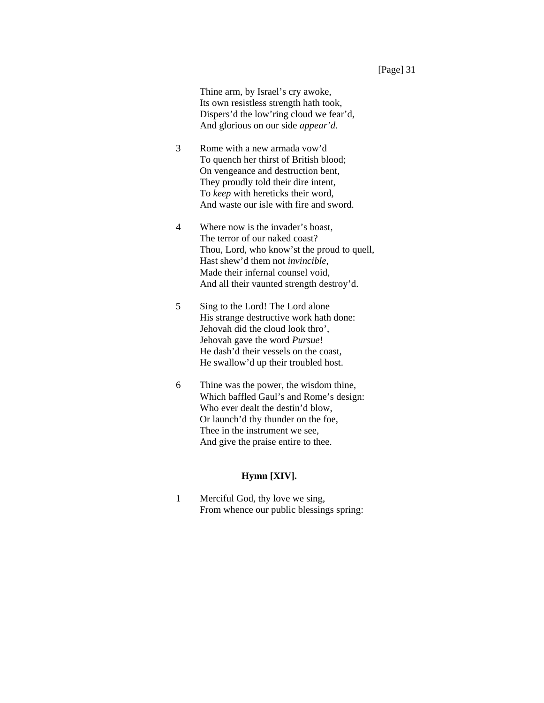Thine arm, by Israel's cry awoke, Its own resistless strength hath took, Dispers'd the low'ring cloud we fear'd, And glorious on our side *appear'd*.

- 3 Rome with a new armada vow'd To quench her thirst of British blood; On vengeance and destruction bent, They proudly told their dire intent, To *keep* with hereticks their word, And waste our isle with fire and sword.
- 4 Where now is the invader's boast, The terror of our naked coast? Thou, Lord, who know'st the proud to quell, Hast shew'd them not *invincible*, Made their infernal counsel void, And all their vaunted strength destroy'd.
- 5 Sing to the Lord! The Lord alone His strange destructive work hath done: Jehovah did the cloud look thro', Jehovah gave the word *Pursue*! He dash'd their vessels on the coast, He swallow'd up their troubled host.
- 6 Thine was the power, the wisdom thine, Which baffled Gaul's and Rome's design: Who ever dealt the destin'd blow, Or launch'd thy thunder on the foe, Thee in the instrument we see, And give the praise entire to thee.

### **Hymn [XIV].**

1 Merciful God, thy love we sing, From whence our public blessings spring: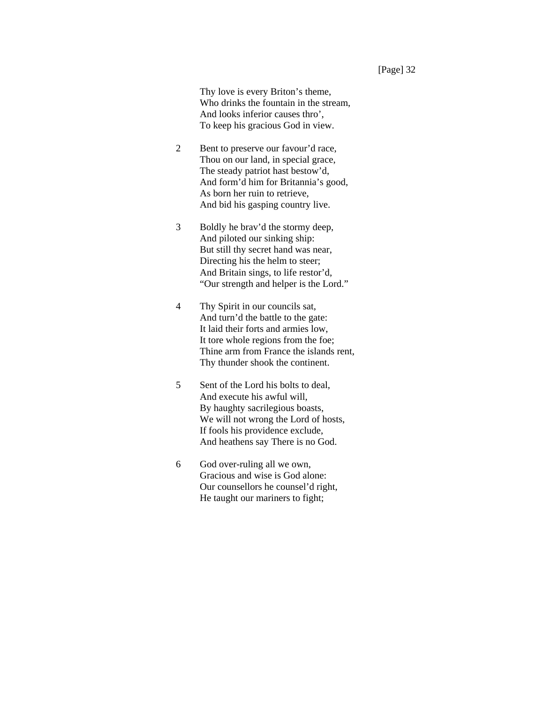Thy love is every Briton's theme, Who drinks the fountain in the stream, And looks inferior causes thro', To keep his gracious God in view.

- 2 Bent to preserve our favour'd race, Thou on our land, in special grace, The steady patriot hast bestow'd, And form'd him for Britannia's good, As born her ruin to retrieve, And bid his gasping country live.
- 3 Boldly he brav'd the stormy deep, And piloted our sinking ship: But still thy secret hand was near, Directing his the helm to steer; And Britain sings, to life restor'd, "Our strength and helper is the Lord."
- 4 Thy Spirit in our councils sat, And turn'd the battle to the gate: It laid their forts and armies low, It tore whole regions from the foe; Thine arm from France the islands rent, Thy thunder shook the continent.
- 5 Sent of the Lord his bolts to deal, And execute his awful will, By haughty sacrilegious boasts, We will not wrong the Lord of hosts, If fools his providence exclude, And heathens say There is no God.
- 6 God over-ruling all we own, Gracious and wise is God alone: Our counsellors he counsel'd right, He taught our mariners to fight;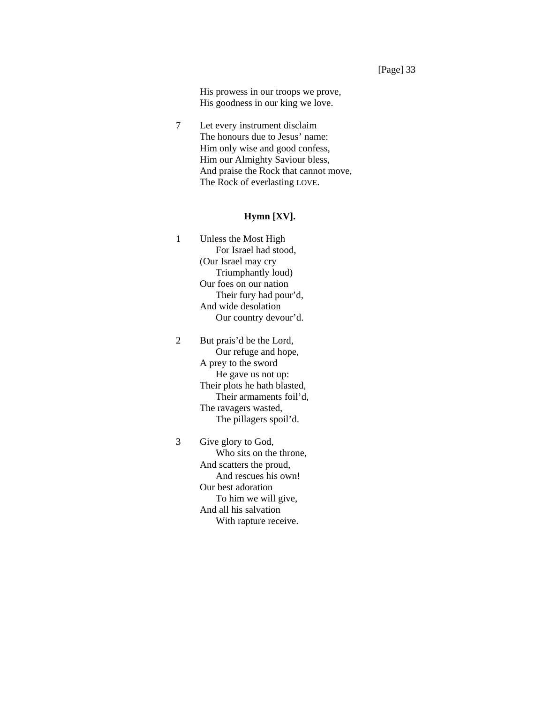His prowess in our troops we prove, His goodness in our king we love.

7 Let every instrument disclaim The honours due to Jesus' name: Him only wise and good confess, Him our Almighty Saviour bless, And praise the Rock that cannot move, The Rock of everlasting LOVE.

## **Hymn [XV].**

1 Unless the Most High For Israel had stood, (Our Israel may cry Triumphantly loud) Our foes on our nation Their fury had pour'd, And wide desolation Our country devour'd.

2 But prais'd be the Lord, Our refuge and hope, A prey to the sword He gave us not up: Their plots he hath blasted, Their armaments foil'd, The ravagers wasted, The pillagers spoil'd.

3 Give glory to God, Who sits on the throne, And scatters the proud, And rescues his own! Our best adoration To him we will give, And all his salvation With rapture receive.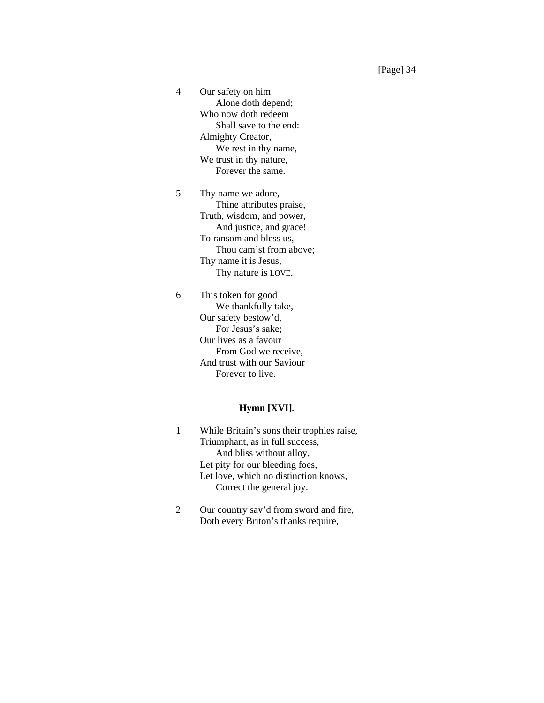4 Our safety on him Alone doth depend; Who now doth redeem Shall save to the end: Almighty Creator, We rest in thy name, We trust in thy nature, Forever the same.

5 Thy name we adore, Thine attributes praise, Truth, wisdom, and power, And justice, and grace! To ransom and bless us, Thou cam'st from above; Thy name it is Jesus, Thy nature is LOVE.

6 This token for good We thankfully take, Our safety bestow'd, For Jesus's sake; Our lives as a favour From God we receive, And trust with our Saviour Forever to live.

### **Hymn [XVI].**

- 1 While Britain's sons their trophies raise, Triumphant, as in full success, And bliss without alloy, Let pity for our bleeding foes, Let love, which no distinction knows, Correct the general joy.
- 2 Our country sav'd from sword and fire, Doth every Briton's thanks require,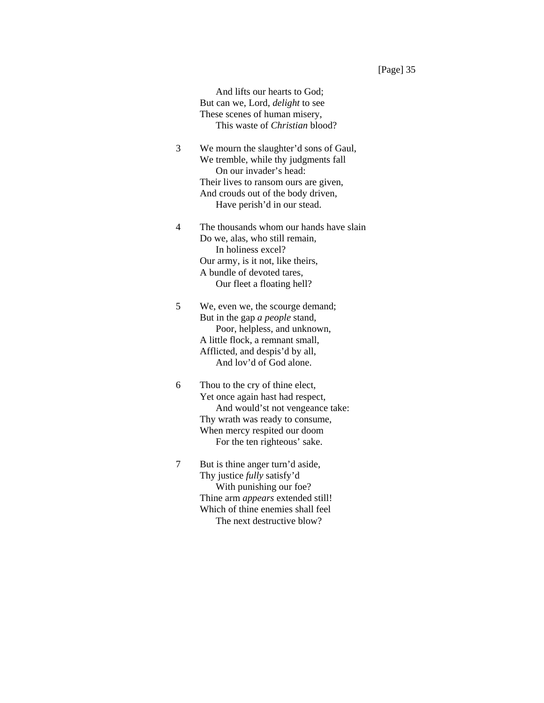And lifts our hearts to God; But can we, Lord, *delight* to see These scenes of human misery, This waste of *Christian* blood?

- 3 We mourn the slaughter'd sons of Gaul, We tremble, while thy judgments fall On our invader's head: Their lives to ransom ours are given, And crouds out of the body driven, Have perish'd in our stead.
- 4 The thousands whom our hands have slain Do we, alas, who still remain, In holiness excel? Our army, is it not, like theirs, A bundle of devoted tares, Our fleet a floating hell?
- 5 We, even we, the scourge demand; But in the gap *a people* stand, Poor, helpless, and unknown, A little flock, a remnant small, Afflicted, and despis'd by all, And lov'd of God alone.
- 6 Thou to the cry of thine elect, Yet once again hast had respect, And would'st not vengeance take: Thy wrath was ready to consume, When mercy respited our doom For the ten righteous' sake.
- 7 But is thine anger turn'd aside, Thy justice *fully* satisfy'd With punishing our foe? Thine arm *appears* extended still! Which of thine enemies shall feel The next destructive blow?